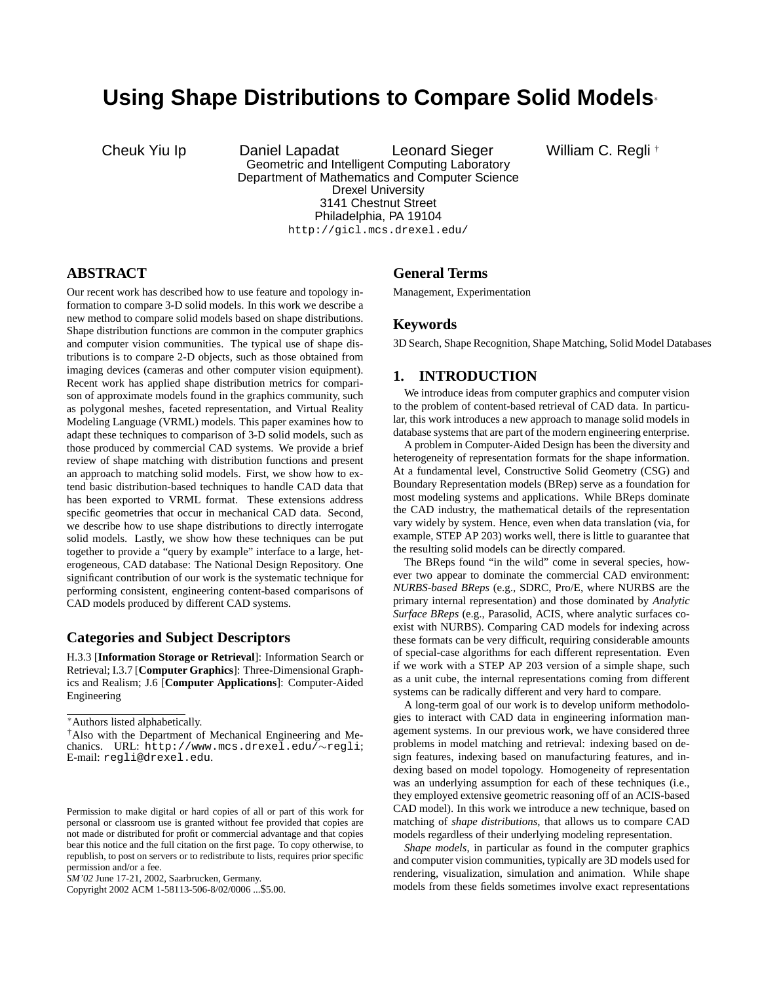# **Using Shape Distributions to Compare Solid Models**<sup>∗</sup>

Cheuk Yiu Ip Daniel Lapadat Leonard Sieger William C. Regli † Geometric and Intelligent Computing Laboratory Department of Mathematics and Computer Science Drexel University 3141 Chestnut Street Philadelphia, PA 19104 http://gicl.mcs.drexel.edu/

## **ABSTRACT**

Our recent work has described how to use feature and topology information to compare 3-D solid models. In this work we describe a new method to compare solid models based on shape distributions. Shape distribution functions are common in the computer graphics and computer vision communities. The typical use of shape distributions is to compare 2-D objects, such as those obtained from imaging devices (cameras and other computer vision equipment). Recent work has applied shape distribution metrics for comparison of approximate models found in the graphics community, such as polygonal meshes, faceted representation, and Virtual Reality Modeling Language (VRML) models. This paper examines how to adapt these techniques to comparison of 3-D solid models, such as those produced by commercial CAD systems. We provide a brief review of shape matching with distribution functions and present an approach to matching solid models. First, we show how to extend basic distribution-based techniques to handle CAD data that has been exported to VRML format. These extensions address specific geometries that occur in mechanical CAD data. Second, we describe how to use shape distributions to directly interrogate solid models. Lastly, we show how these techniques can be put together to provide a "query by example" interface to a large, heterogeneous, CAD database: The National Design Repository. One significant contribution of our work is the systematic technique for performing consistent, engineering content-based comparisons of CAD models produced by different CAD systems.

## **Categories and Subject Descriptors**

H.3.3 [**Information Storage or Retrieval**]: Information Search or Retrieval; I.3.7 [**Computer Graphics**]: Three-Dimensional Graphics and Realism; J.6 [**Computer Applications**]: Computer-Aided Engineering

Copyright 2002 ACM 1-58113-506-8/02/0006 ...\$5.00.

## **General Terms**

Management, Experimentation

## **Keywords**

3D Search, Shape Recognition, Shape Matching, Solid Model Databases

## **1. INTRODUCTION**

We introduce ideas from computer graphics and computer vision to the problem of content-based retrieval of CAD data. In particular, this work introduces a new approach to manage solid models in database systems that are part of the modern engineering enterprise.

A problem in Computer-Aided Design has been the diversity and heterogeneity of representation formats for the shape information. At a fundamental level, Constructive Solid Geometry (CSG) and Boundary Representation models (BRep) serve as a foundation for most modeling systems and applications. While BReps dominate the CAD industry, the mathematical details of the representation vary widely by system. Hence, even when data translation (via, for example, STEP AP 203) works well, there is little to guarantee that the resulting solid models can be directly compared.

The BReps found "in the wild" come in several species, however two appear to dominate the commercial CAD environment: *NURBS-based BReps* (e.g., SDRC, Pro/E, where NURBS are the primary internal representation) and those dominated by *Analytic Surface BReps* (e.g., Parasolid, ACIS, where analytic surfaces coexist with NURBS). Comparing CAD models for indexing across these formats can be very difficult, requiring considerable amounts of special-case algorithms for each different representation. Even if we work with a STEP AP 203 version of a simple shape, such as a unit cube, the internal representations coming from different systems can be radically different and very hard to compare.

A long-term goal of our work is to develop uniform methodologies to interact with CAD data in engineering information management systems. In our previous work, we have considered three problems in model matching and retrieval: indexing based on design features, indexing based on manufacturing features, and indexing based on model topology. Homogeneity of representation was an underlying assumption for each of these techniques (i.e., they employed extensive geometric reasoning off of an ACIS-based CAD model). In this work we introduce a new technique, based on matching of *shape distributions*, that allows us to compare CAD models regardless of their underlying modeling representation.

*Shape models*, in particular as found in the computer graphics and computer vision communities, typically are 3D models used for rendering, visualization, simulation and animation. While shape models from these fields sometimes involve exact representations

<sup>∗</sup>Authors listed alphabetically.

<sup>†</sup>Also with the Department of Mechanical Engineering and Mechanics. URL: http://www.mcs.drexel.edu/∼regli; E-mail: regli@drexel.edu.

Permission to make digital or hard copies of all or part of this work for personal or classroom use is granted without fee provided that copies are not made or distributed for profit or commercial advantage and that copies bear this notice and the full citation on the first page. To copy otherwise, to republish, to post on servers or to redistribute to lists, requires prior specific permission and/or a fee.

*SM'02* June 17-21, 2002, Saarbrucken, Germany.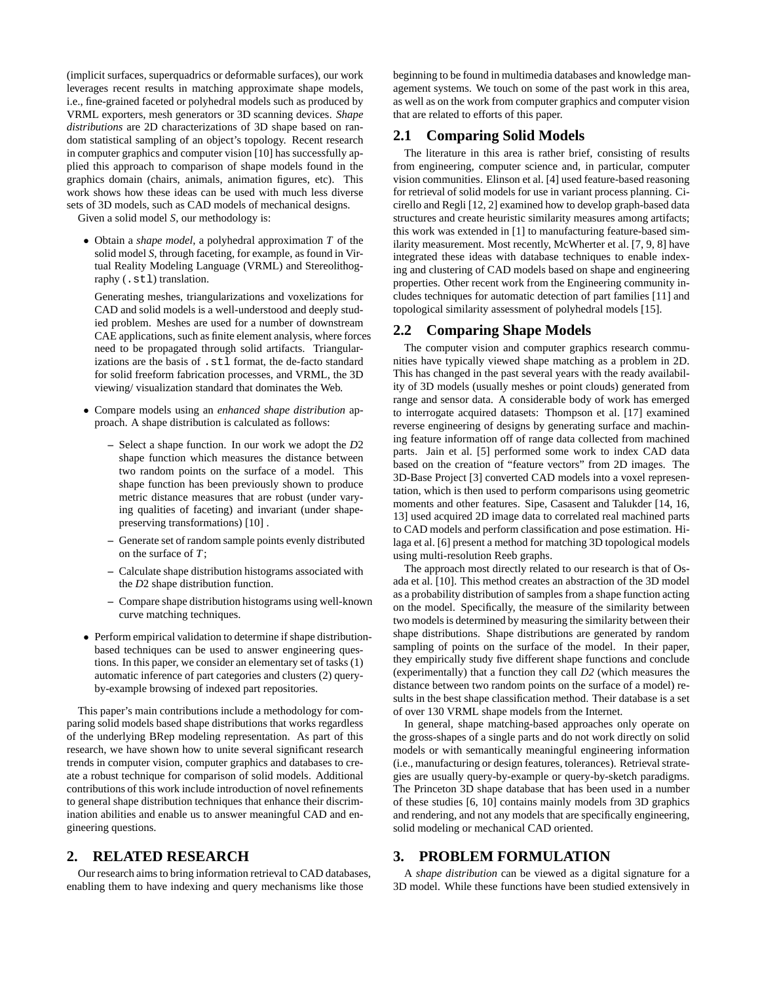(implicit surfaces, superquadrics or deformable surfaces), our work leverages recent results in matching approximate shape models, i.e., fine-grained faceted or polyhedral models such as produced by VRML exporters, mesh generators or 3D scanning devices. *Shape distributions* are 2D characterizations of 3D shape based on random statistical sampling of an object's topology. Recent research in computer graphics and computer vision [10] has successfully applied this approach to comparison of shape models found in the graphics domain (chairs, animals, animation figures, etc). This work shows how these ideas can be used with much less diverse sets of 3D models, such as CAD models of mechanical designs.

Given a solid model *S*, our methodology is:

• Obtain a *shape model*, a polyhedral approximation *T* of the solid model *S*, through faceting, for example, as found in Virtual Reality Modeling Language (VRML) and Stereolithography (.stl) translation.

Generating meshes, triangularizations and voxelizations for CAD and solid models is a well-understood and deeply studied problem. Meshes are used for a number of downstream CAE applications, such as finite element analysis, where forces need to be propagated through solid artifacts. Triangularizations are the basis of .stl format, the de-facto standard for solid freeform fabrication processes, and VRML, the 3D viewing/ visualization standard that dominates the Web.

- Compare models using an *enhanced shape distribution* approach. A shape distribution is calculated as follows:
	- **–** Select a shape function. In our work we adopt the *D*2 shape function which measures the distance between two random points on the surface of a model. This shape function has been previously shown to produce metric distance measures that are robust (under varying qualities of faceting) and invariant (under shapepreserving transformations) [10] .
	- **–** Generate set of random sample points evenly distributed on the surface of *T*;
	- **–** Calculate shape distribution histograms associated with the *D*2 shape distribution function.
	- **–** Compare shape distribution histograms using well-known curve matching techniques.
- Perform empirical validation to determine if shape distributionbased techniques can be used to answer engineering questions. In this paper, we consider an elementary set of tasks (1) automatic inference of part categories and clusters (2) queryby-example browsing of indexed part repositories.

This paper's main contributions include a methodology for comparing solid models based shape distributions that works regardless of the underlying BRep modeling representation. As part of this research, we have shown how to unite several significant research trends in computer vision, computer graphics and databases to create a robust technique for comparison of solid models. Additional contributions of this work include introduction of novel refinements to general shape distribution techniques that enhance their discrimination abilities and enable us to answer meaningful CAD and engineering questions.

## **2. RELATED RESEARCH**

Our research aims to bring information retrieval to CAD databases, enabling them to have indexing and query mechanisms like those

beginning to be found in multimedia databases and knowledge management systems. We touch on some of the past work in this area, as well as on the work from computer graphics and computer vision that are related to efforts of this paper.

## **2.1 Comparing Solid Models**

The literature in this area is rather brief, consisting of results from engineering, computer science and, in particular, computer vision communities. Elinson et al. [4] used feature-based reasoning for retrieval of solid models for use in variant process planning. Cicirello and Regli [12, 2] examined how to develop graph-based data structures and create heuristic similarity measures among artifacts; this work was extended in [1] to manufacturing feature-based similarity measurement. Most recently, McWherter et al. [7, 9, 8] have integrated these ideas with database techniques to enable indexing and clustering of CAD models based on shape and engineering properties. Other recent work from the Engineering community includes techniques for automatic detection of part families [11] and topological similarity assessment of polyhedral models [15].

## **2.2 Comparing Shape Models**

The computer vision and computer graphics research communities have typically viewed shape matching as a problem in 2D. This has changed in the past several years with the ready availability of 3D models (usually meshes or point clouds) generated from range and sensor data. A considerable body of work has emerged to interrogate acquired datasets: Thompson et al. [17] examined reverse engineering of designs by generating surface and machining feature information off of range data collected from machined parts. Jain et al. [5] performed some work to index CAD data based on the creation of "feature vectors" from 2D images. The 3D-Base Project [3] converted CAD models into a voxel representation, which is then used to perform comparisons using geometric moments and other features. Sipe, Casasent and Talukder [14, 16, 13] used acquired 2D image data to correlated real machined parts to CAD models and perform classification and pose estimation. Hilaga et al. [6] present a method for matching 3D topological models using multi-resolution Reeb graphs.

The approach most directly related to our research is that of Osada et al. [10]. This method creates an abstraction of the 3D model as a probability distribution of samples from a shape function acting on the model. Specifically, the measure of the similarity between two models is determined by measuring the similarity between their shape distributions. Shape distributions are generated by random sampling of points on the surface of the model. In their paper, they empirically study five different shape functions and conclude (experimentally) that a function they call *D2* (which measures the distance between two random points on the surface of a model) results in the best shape classification method. Their database is a set of over 130 VRML shape models from the Internet.

In general, shape matching-based approaches only operate on the gross-shapes of a single parts and do not work directly on solid models or with semantically meaningful engineering information (i.e., manufacturing or design features, tolerances). Retrieval strategies are usually query-by-example or query-by-sketch paradigms. The Princeton 3D shape database that has been used in a number of these studies [6, 10] contains mainly models from 3D graphics and rendering, and not any models that are specifically engineering, solid modeling or mechanical CAD oriented.

## **3. PROBLEM FORMULATION**

A *shape distribution* can be viewed as a digital signature for a 3D model. While these functions have been studied extensively in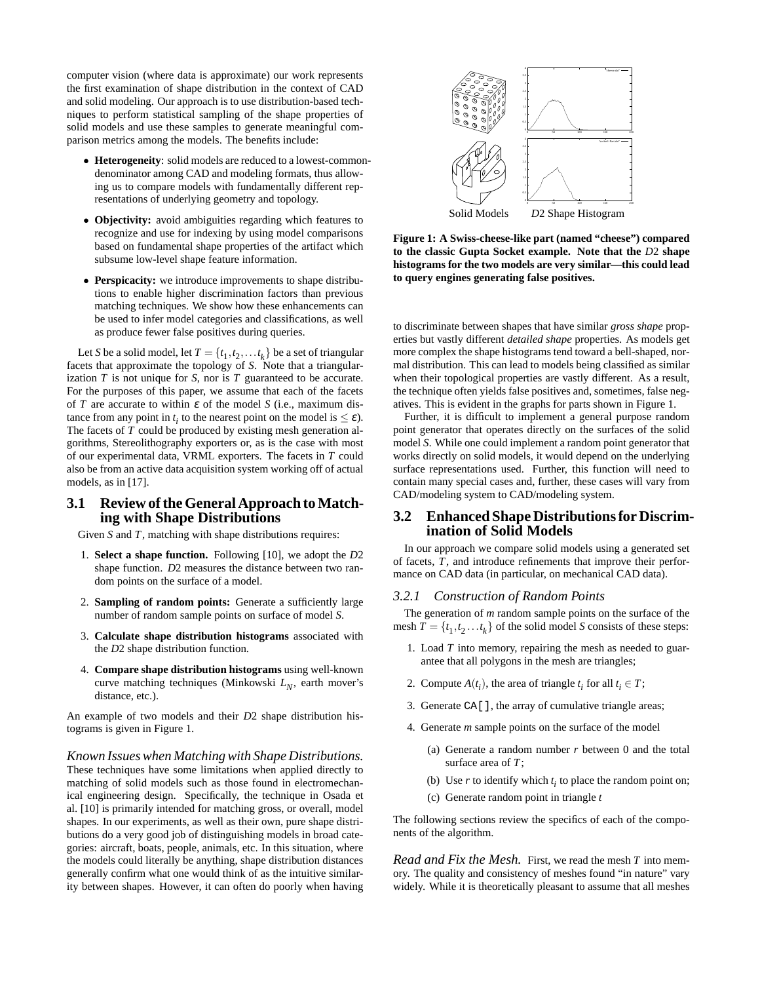computer vision (where data is approximate) our work represents the first examination of shape distribution in the context of CAD and solid modeling. Our approach is to use distribution-based techniques to perform statistical sampling of the shape properties of solid models and use these samples to generate meaningful comparison metrics among the models. The benefits include:

- **Heterogeneity**: solid models are reduced to a lowest-commondenominator among CAD and modeling formats, thus allowing us to compare models with fundamentally different representations of underlying geometry and topology.
- **Objectivity:** avoid ambiguities regarding which features to recognize and use for indexing by using model comparisons based on fundamental shape properties of the artifact which subsume low-level shape feature information.
- **Perspicacity:** we introduce improvements to shape distributions to enable higher discrimination factors than previous matching techniques. We show how these enhancements can be used to infer model categories and classifications, as well as produce fewer false positives during queries.

Let *S* be a solid model, let  $T = \{t_1, t_2, \dots t_k\}$  be a set of triangular facets that approximate the topology of *S*. Note that a triangularization *T* is not unique for *S*, nor is *T* guaranteed to be accurate. For the purposes of this paper, we assume that each of the facets of *T* are accurate to within  $\varepsilon$  of the model *S* (i.e., maximum distance from any point in  $t_i$  to the nearest point on the model is  $\leq \varepsilon$ ). The facets of *T* could be produced by existing mesh generation algorithms, Stereolithography exporters or, as is the case with most of our experimental data, VRML exporters. The facets in *T* could also be from an active data acquisition system working off of actual models, as in [17].

## **3.1 Review of the General Approach to Matching with Shape Distributions**

Given *S* and *T*, matching with shape distributions requires:

- 1. **Select a shape function.** Following [10], we adopt the *D*2 shape function. *D*2 measures the distance between two random points on the surface of a model.
- 2. **Sampling of random points:** Generate a sufficiently large number of random sample points on surface of model *S*.
- 3. **Calculate shape distribution histograms** associated with the *D*2 shape distribution function.
- 4. **Compare shape distribution histograms** using well-known curve matching techniques (Minkowski *L<sup>N</sup>* , earth mover's distance, etc.).

An example of two models and their *D*2 shape distribution histograms is given in Figure 1.

*Known Issues when Matching with Shape Distributions.* These techniques have some limitations when applied directly to matching of solid models such as those found in electromechanical engineering design. Specifically, the technique in Osada et al. [10] is primarily intended for matching gross, or overall, model shapes. In our experiments, as well as their own, pure shape distributions do a very good job of distinguishing models in broad categories: aircraft, boats, people, animals, etc. In this situation, where the models could literally be anything, shape distribution distances generally confirm what one would think of as the intuitive similarity between shapes. However, it can often do poorly when having



**Figure 1: A Swiss-cheese-like part (named "cheese") compared to the classic Gupta Socket example. Note that the** *D*2 **shape histograms for the two models are very similar—this could lead to query engines generating false positives.**

to discriminate between shapes that have similar *gross shape* properties but vastly different *detailed shape* properties. As models get more complex the shape histograms tend toward a bell-shaped, normal distribution. This can lead to models being classified as similar when their topological properties are vastly different. As a result, the technique often yields false positives and, sometimes, false negatives. This is evident in the graphs for parts shown in Figure 1.

Further, it is difficult to implement a general purpose random point generator that operates directly on the surfaces of the solid model *S*. While one could implement a random point generator that works directly on solid models, it would depend on the underlying surface representations used. Further, this function will need to contain many special cases and, further, these cases will vary from CAD/modeling system to CAD/modeling system.

## **3.2 Enhanced Shape Distributions for Discrimination of Solid Models**

In our approach we compare solid models using a generated set of facets, *T*, and introduce refinements that improve their performance on CAD data (in particular, on mechanical CAD data).

#### *3.2.1 Construction of Random Points*

The generation of *m* random sample points on the surface of the mesh  $T = \{t_1, t_2, \ldots, t_k\}$  of the solid model *S* consists of these steps:

- 1. Load *T* into memory, repairing the mesh as needed to guarantee that all polygons in the mesh are triangles;
- 2. Compute  $A(t_i)$ , the area of triangle  $t_i$  for all  $t_i \in T$ ;
- 3. Generate CA[], the array of cumulative triangle areas;
- 4. Generate *m* sample points on the surface of the model
	- (a) Generate a random number  $r$  between  $0$  and the total surface area of *T*;
	- (b) Use  $r$  to identify which  $t_i$  to place the random point on;
	- (c) Generate random point in triangle *t*

The following sections review the specifics of each of the components of the algorithm.

*Read and Fix the Mesh.* First, we read the mesh *T* into memory. The quality and consistency of meshes found "in nature" vary widely. While it is theoretically pleasant to assume that all meshes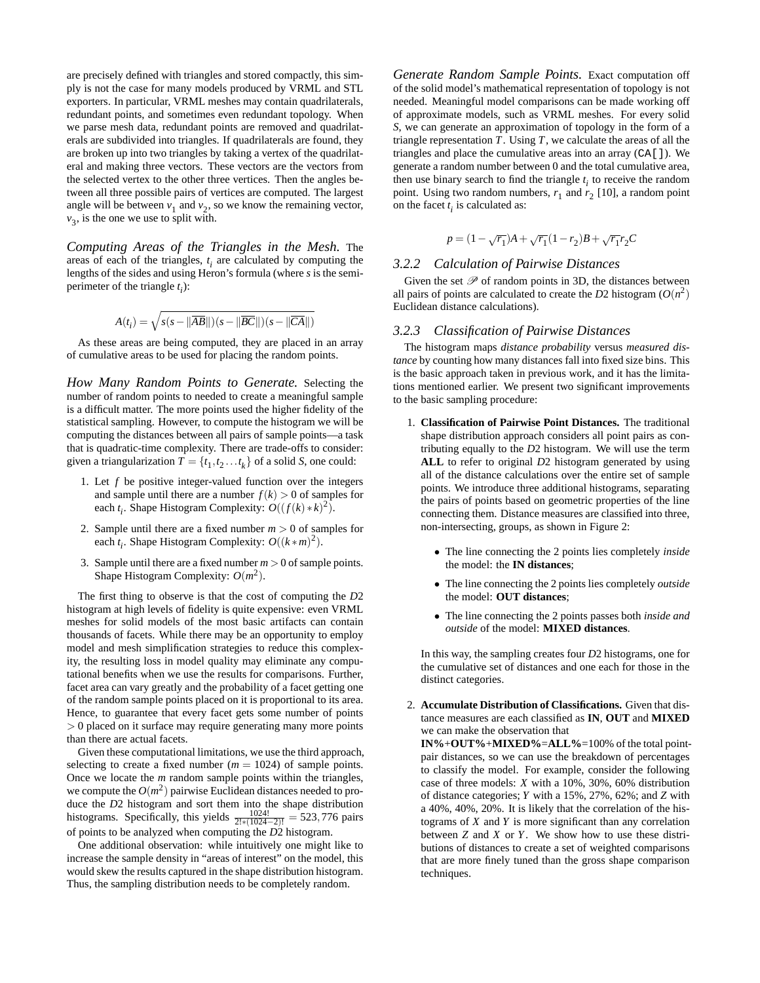are precisely defined with triangles and stored compactly, this simply is not the case for many models produced by VRML and STL exporters. In particular, VRML meshes may contain quadrilaterals, redundant points, and sometimes even redundant topology. When we parse mesh data, redundant points are removed and quadrilaterals are subdivided into triangles. If quadrilaterals are found, they are broken up into two triangles by taking a vertex of the quadrilateral and making three vectors. These vectors are the vectors from the selected vertex to the other three vertices. Then the angles between all three possible pairs of vertices are computed. The largest angle will be between  $v_1$  and  $v_2$ , so we know the remaining vector,  $v_3$ , is the one we use to split with.

*Computing Areas of the Triangles in the Mesh.* The areas of each of the triangles,  $t_i$  are calculated by computing the lengths of the sides and using Heron's formula (where *s* is the semiperimeter of the triangle *t i* ):

$$
A(t_i) = \sqrt{s(s - \|\overline{AB}\|)(s - \|\overline{BC}\|)(s - \|\overline{CA}\|)}
$$

As these areas are being computed, they are placed in an array of cumulative areas to be used for placing the random points.

*How Many Random Points to Generate.* Selecting the number of random points to needed to create a meaningful sample is a difficult matter. The more points used the higher fidelity of the statistical sampling. However, to compute the histogram we will be computing the distances between all pairs of sample points—a task that is quadratic-time complexity. There are trade-offs to consider: given a triangularization  $T = \{t_1, t_2, \ldots, t_k\}$  of a solid *S*, one could:

- 1. Let *f* be positive integer-valued function over the integers and sample until there are a number  $f(k) > 0$  of samples for each  $t_i$ . Shape Histogram Complexity:  $O((f(k) * k)^2)$ .
- 2. Sample until there are a fixed number  $m > 0$  of samples for each  $t_i$ . Shape Histogram Complexity:  $O((k*m)^2)$ .
- 3. Sample until there are a fixed number  $m > 0$  of sample points. Shape Histogram Complexity:  $O(m^2)$ .

The first thing to observe is that the cost of computing the *D*2 histogram at high levels of fidelity is quite expensive: even VRML meshes for solid models of the most basic artifacts can contain thousands of facets. While there may be an opportunity to employ model and mesh simplification strategies to reduce this complexity, the resulting loss in model quality may eliminate any computational benefits when we use the results for comparisons. Further, facet area can vary greatly and the probability of a facet getting one of the random sample points placed on it is proportional to its area. Hence, to guarantee that every facet gets some number of points > 0 placed on it surface may require generating many more points than there are actual facets.

Given these computational limitations, we use the third approach, selecting to create a fixed number  $(m = 1024)$  of sample points. Once we locate the *m* random sample points within the triangles, we compute the  $O(m^2)$  pairwise Euclidean distances needed to produce the *D*2 histogram and sort them into the shape distribution histograms. Specifically, this yields  $\frac{1024!}{2!*(1024-2)!} = 523,776$  pairs of points to be analyzed when computing the *D*2 histogram.

One additional observation: while intuitively one might like to increase the sample density in "areas of interest" on the model, this would skew the results captured in the shape distribution histogram. Thus, the sampling distribution needs to be completely random.

*Generate Random Sample Points.* Exact computation off of the solid model's mathematical representation of topology is not needed. Meaningful model comparisons can be made working off of approximate models, such as VRML meshes. For every solid *S*, we can generate an approximation of topology in the form of a triangle representation  $T$ . Using  $T$ , we calculate the areas of all the triangles and place the cumulative areas into an array (CA[]). We generate a random number between 0 and the total cumulative area, then use binary search to find the triangle  $t_i$  to receive the random point. Using two random numbers,  $r_1$  and  $r_2$  [10], a random point on the facet  $t_i$  is calculated as:

$$
p = (1 - \sqrt{r_1})A + \sqrt{r_1}(1 - r_2)B + \sqrt{r_1}r_2C
$$

#### *3.2.2 Calculation of Pairwise Distances*

Given the set  $\mathcal P$  of random points in 3D, the distances between all pairs of points are calculated to create the *D*2 histogram  $(O(n^2))$ Euclidean distance calculations).

#### *3.2.3 Classification of Pairwise Distances*

The histogram maps *distance probability* versus *measured distance* by counting how many distances fall into fixed size bins. This is the basic approach taken in previous work, and it has the limitations mentioned earlier. We present two significant improvements to the basic sampling procedure:

- 1. **Classification of Pairwise Point Distances.** The traditional shape distribution approach considers all point pairs as contributing equally to the *D*2 histogram. We will use the term **ALL** to refer to original *D*2 histogram generated by using all of the distance calculations over the entire set of sample points. We introduce three additional histograms, separating the pairs of points based on geometric properties of the line connecting them. Distance measures are classified into three, non-intersecting, groups, as shown in Figure 2:
	- The line connecting the 2 points lies completely *inside* the model: the **IN distances**;
	- The line connecting the 2 points lies completely *outside* the model: **OUT distances**;
	- The line connecting the 2 points passes both *inside and outside* of the model: **MIXED distances**.

In this way, the sampling creates four *D*2 histograms, one for the cumulative set of distances and one each for those in the distinct categories.

2. **Accumulate Distribution of Classifications.** Given that distance measures are each classified as **IN**, **OUT** and **MIXED** we can make the observation that

**IN%**+**OUT%**+**MIXED%**=**ALL%**=100% of the total pointpair distances, so we can use the breakdown of percentages to classify the model. For example, consider the following case of three models: *X* with a 10%, 30%, 60% distribution of distance categories; *Y* with a 15%, 27%, 62%; and *Z* with a 40%, 40%, 20%. It is likely that the correlation of the histograms of *X* and *Y* is more significant than any correlation between *Z* and *X* or *Y*. We show how to use these distributions of distances to create a set of weighted comparisons that are more finely tuned than the gross shape comparison techniques.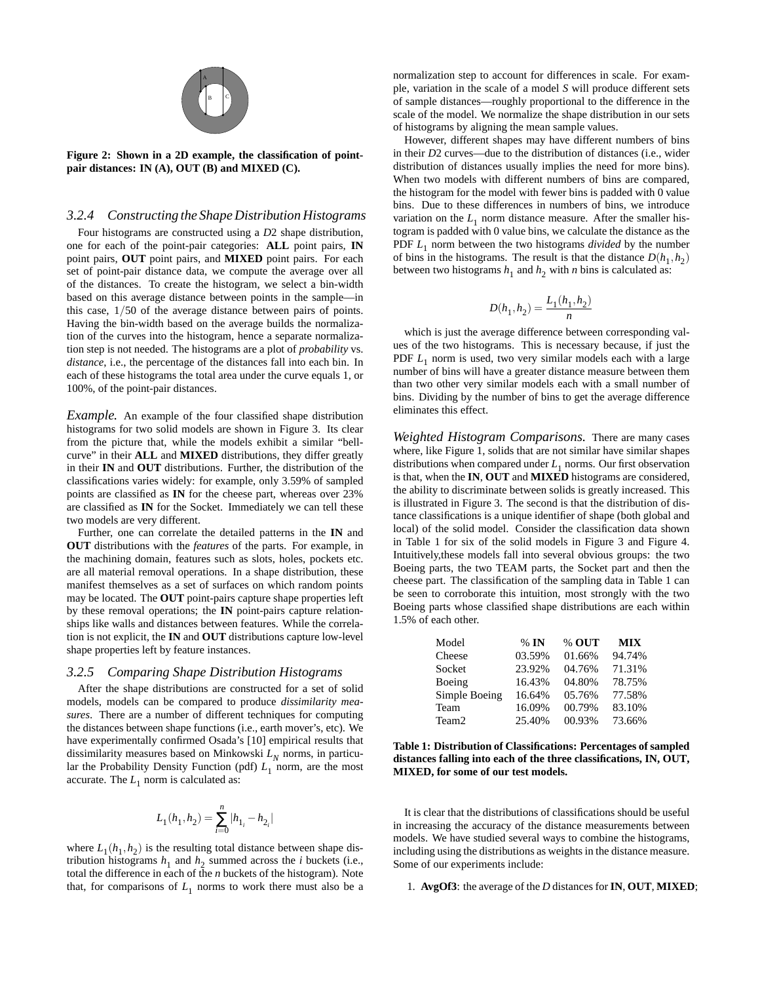

**Figure 2: Shown in a 2D example, the classification of pointpair distances: IN (A), OUT (B) and MIXED (C).**

#### *3.2.4 Constructing the Shape Distribution Histograms*

Four histograms are constructed using a *D*2 shape distribution, one for each of the point-pair categories: **ALL** point pairs, **IN** point pairs, **OUT** point pairs, and **MIXED** point pairs. For each set of point-pair distance data, we compute the average over all of the distances. To create the histogram, we select a bin-width based on this average distance between points in the sample—in this case, 1/50 of the average distance between pairs of points. Having the bin-width based on the average builds the normalization of the curves into the histogram, hence a separate normalization step is not needed. The histograms are a plot of *probability* vs. *distance*, i.e., the percentage of the distances fall into each bin. In each of these histograms the total area under the curve equals 1, or 100%, of the point-pair distances.

*Example.* An example of the four classified shape distribution histograms for two solid models are shown in Figure 3. Its clear from the picture that, while the models exhibit a similar "bellcurve" in their **ALL** and **MIXED** distributions, they differ greatly in their **IN** and **OUT** distributions. Further, the distribution of the classifications varies widely: for example, only 3.59% of sampled points are classified as **IN** for the cheese part, whereas over 23% are classified as **IN** for the Socket. Immediately we can tell these two models are very different.

Further, one can correlate the detailed patterns in the **IN** and **OUT** distributions with the *features* of the parts. For example, in the machining domain, features such as slots, holes, pockets etc. are all material removal operations. In a shape distribution, these manifest themselves as a set of surfaces on which random points may be located. The **OUT** point-pairs capture shape properties left by these removal operations; the **IN** point-pairs capture relationships like walls and distances between features. While the correlation is not explicit, the **IN** and **OUT** distributions capture low-level shape properties left by feature instances.

#### *3.2.5 Comparing Shape Distribution Histograms*

After the shape distributions are constructed for a set of solid models, models can be compared to produce *dissimilarity measures*. There are a number of different techniques for computing the distances between shape functions (i.e., earth mover's, etc). We have experimentally confirmed Osada's [10] empirical results that dissimilarity measures based on Minkowski *L<sup>N</sup>* norms, in particular the Probability Density Function (pdf)  $L_1$  norm, are the most accurate. The  $L_1$  norm is calculated as:

$$
L_1(h_1,h_2)=\sum_{i=0}^n|h_{1_i}-h_{2_i}|
$$

where  $L_1(h_1, h_2)$  is the resulting total distance between shape distribution histograms  $h_1$  and  $h_2$  summed across the *i* buckets (i.e., total the difference in each of the *n* buckets of the histogram). Note that, for comparisons of  $L_1$  norms to work there must also be a

normalization step to account for differences in scale. For example, variation in the scale of a model *S* will produce different sets of sample distances—roughly proportional to the difference in the scale of the model. We normalize the shape distribution in our sets of histograms by aligning the mean sample values.

However, different shapes may have different numbers of bins in their *D*2 curves—due to the distribution of distances (i.e., wider distribution of distances usually implies the need for more bins). When two models with different numbers of bins are compared, the histogram for the model with fewer bins is padded with 0 value bins. Due to these differences in numbers of bins, we introduce variation on the  $L_1$  norm distance measure. After the smaller histogram is padded with 0 value bins, we calculate the distance as the PDF *L*<sup>1</sup> norm between the two histograms *divided* by the number of bins in the histograms. The result is that the distance  $D(h_1, h_2)$ between two histograms  $h_1$  and  $h_2$  with *n* bins is calculated as:

$$
D(h_1, h_2) = \frac{L_1(h_1, h_2)}{n}
$$

which is just the average difference between corresponding values of the two histograms. This is necessary because, if just the PDF  $L_1$  norm is used, two very similar models each with a large number of bins will have a greater distance measure between them than two other very similar models each with a small number of bins. Dividing by the number of bins to get the average difference eliminates this effect.

*Weighted Histogram Comparisons.* There are many cases where, like Figure 1, solids that are not similar have similar shapes distributions when compared under *L*<sup>1</sup> norms. Our first observation is that, when the **IN**, **OUT** and **MIXED** histograms are considered, the ability to discriminate between solids is greatly increased. This is illustrated in Figure 3. The second is that the distribution of distance classifications is a unique identifier of shape (both global and local) of the solid model. Consider the classification data shown in Table 1 for six of the solid models in Figure 3 and Figure 4. Intuitively,these models fall into several obvious groups: the two Boeing parts, the two TEAM parts, the Socket part and then the cheese part. The classification of the sampling data in Table 1 can be seen to corroborate this intuition, most strongly with the two Boeing parts whose classified shape distributions are each within 1.5% of each other.

| Model             | $%$ IN | % OUT  | <b>MIX</b> |
|-------------------|--------|--------|------------|
| Cheese            | 03.59% | 01.66% | 94.74%     |
| Socket            | 23.92% | 04.76% | 71.31%     |
| Boeing            | 16.43% | 04.80% | 78.75%     |
| Simple Boeing     | 16.64% | 05.76% | 77.58%     |
| Team              | 16.09% | 00.79% | 83.10%     |
| Team <sub>2</sub> | 25.40% | 00.93% | 73.66%     |

**Table 1: Distribution of Classifications: Percentages of sampled distances falling into each of the three classifications, IN, OUT, MIXED, for some of our test models.**

It is clear that the distributions of classifications should be useful in increasing the accuracy of the distance measurements between models. We have studied several ways to combine the histograms, including using the distributions as weights in the distance measure. Some of our experiments include:

1. **AvgOf3**: the average of the *D* distances for**IN**, **OUT**, **MIXED**;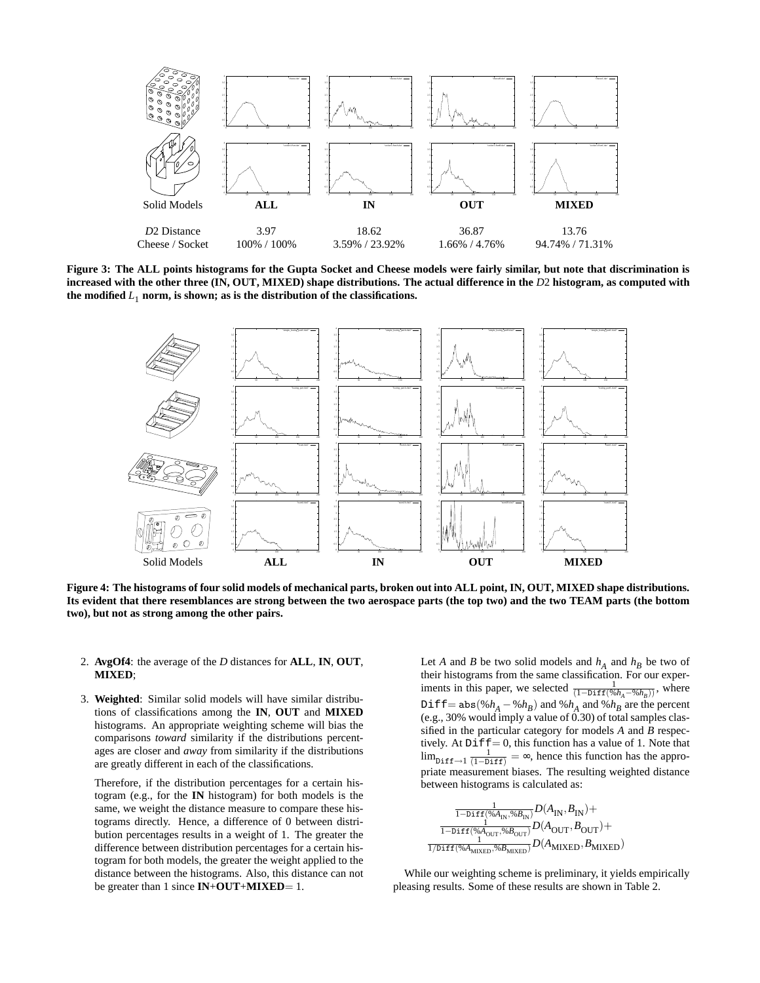

**Figure 3: The ALL points histograms for the Gupta Socket and Cheese models were fairly similar, but note that discrimination is increased with the other three (IN, OUT, MIXED) shape distributions. The actual difference in the** *D*2 **histogram, as computed with** the modified  $L_1$  norm, is shown; as is the distribution of the classifications.



**Figure 4: The histograms of four solid models of mechanical parts, broken out into ALL point, IN, OUT, MIXED shape distributions. Its evident that there resemblances are strong between the two aerospace parts (the top two) and the two TEAM parts (the bottom two), but not as strong among the other pairs.**

- 2. **AvgOf4**: the average of the *D* distances for **ALL**, **IN**, **OUT**, **MIXED**;
- 3. **Weighted**: Similar solid models will have similar distributions of classifications among the **IN**, **OUT** and **MIXED** histograms. An appropriate weighting scheme will bias the comparisons *toward* similarity if the distributions percentages are closer and *away* from similarity if the distributions are greatly different in each of the classifications.

Therefore, if the distribution percentages for a certain histogram (e.g., for the **IN** histogram) for both models is the same, we weight the distance measure to compare these histograms directly. Hence, a difference of 0 between distribution percentages results in a weight of 1. The greater the difference between distribution percentages for a certain histogram for both models, the greater the weight applied to the distance between the histograms. Also, this distance can not be greater than 1 since **IN**+**OUT**+**MIXED**= 1.

Let *A* and *B* be two solid models and  $h_A$  and  $h_B$  be two of their histograms from the same classification. For our experiments in this paper, we selected  $\frac{1}{(1-\text{Diff}(\%h_A-\%h_B))}$ , where Diff= $abs(\%h_A - \%h_B)$  and  $\%h_A$  and  $\%h_B$  are the percent (e.g., 30% would imply a value of 0.30) of total samples classified in the particular category for models *A* and *B* respectively. At  $Diff = 0$ , this function has a value of 1. Note that  $\lim_{\text{Diff}\to 1} \frac{1}{(1-\text{Diff})} = \infty$ , hence this function has the appropriate measurement biases. The resulting weighted distance between histograms is calculated as:

$$
\frac{\frac{1}{1-\text{Diff}(\% A_{\text{IN}},\% B_{\text{IN}})}D(A_{\text{IN}}, B_{\text{IN}})+}{\frac{1}{1-\text{Diff}(\% A_{\text{OUT}},\% B_{\text{OUT}})}D(A_{\text{OUT}}, B_{\text{OUT}})+\frac{1}{1/\text{Diff}(\% A_{\text{MIXED}},\% B_{\text{MIXED}})}D(A_{\text{MIXED}}, B_{\text{MIXED}})
$$

While our weighting scheme is preliminary, it yields empirically pleasing results. Some of these results are shown in Table 2.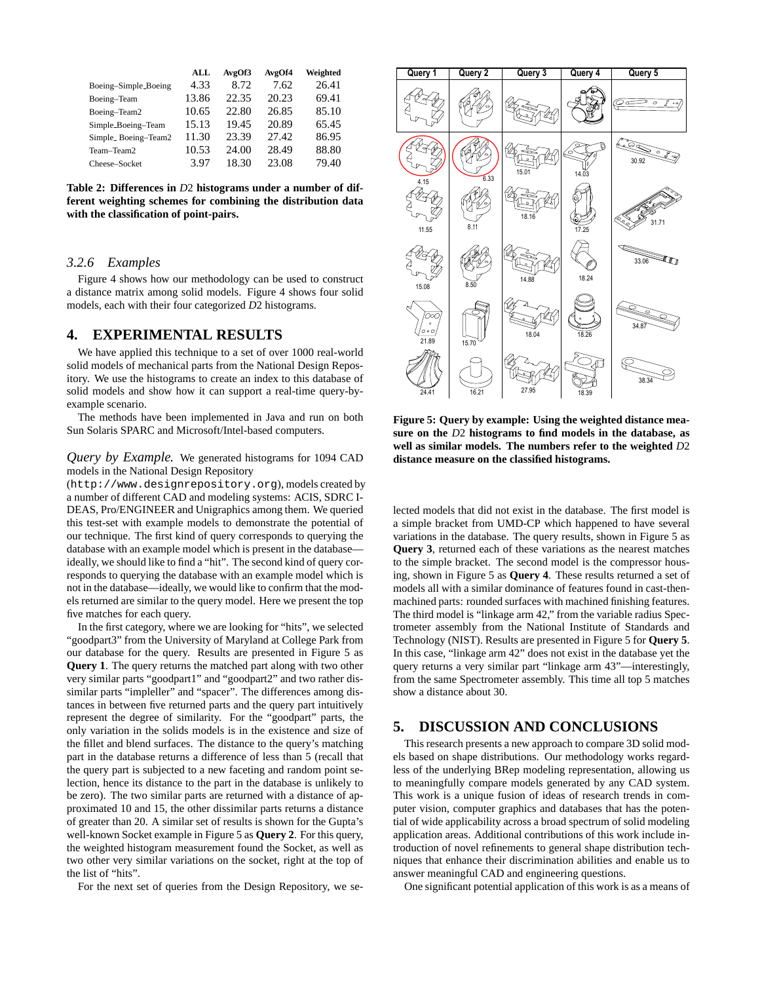|                      | ALL   | AvgOf3 | AvgOf4 | Weighted |
|----------------------|-------|--------|--------|----------|
| Boeing-Simple_Boeing | 4.33  | 8.72   | 7.62   | 26.41    |
| Boeing-Team          | 13.86 | 22.35  | 20.23  | 69.41    |
| Boeing-Team2         | 10.65 | 22.80  | 26.85  | 85.10    |
| Simple_Boeing-Team   | 15.13 | 19.45  | 20.89  | 65.45    |
| Simple_Boeing-Team2  | 11.30 | 23.39  | 27.42  | 86.95    |
| Team-Team2           | 10.53 | 24.00  | 28.49  | 88.80    |
| Cheese-Socket        | 3.97  | 18.30  | 23.08  | 79.40    |

**Table 2: Differences in** *D*2 **histograms under a number of different weighting schemes for combining the distribution data with the classification of point-pairs.**

#### *3.2.6 Examples*

Figure 4 shows how our methodology can be used to construct a distance matrix among solid models. Figure 4 shows four solid models, each with their four categorized *D*2 histograms.

### **4. EXPERIMENTAL RESULTS**

We have applied this technique to a set of over 1000 real-world solid models of mechanical parts from the National Design Repository. We use the histograms to create an index to this database of solid models and show how it can support a real-time query-byexample scenario.

The methods have been implemented in Java and run on both Sun Solaris SPARC and Microsoft/Intel-based computers.

#### *Query by Example.* We generated histograms for 1094 CAD models in the National Design Repository

(http://www.designrepository.org), models created by a number of different CAD and modeling systems: ACIS, SDRC I-DEAS, Pro/ENGINEER and Unigraphics among them. We queried this test-set with example models to demonstrate the potential of our technique. The first kind of query corresponds to querying the database with an example model which is present in the database ideally, we should like to find a "hit". The second kind of query corresponds to querying the database with an example model which is not in the database—ideally, we would like to confirm that the models returned are similar to the query model. Here we present the top five matches for each query.

In the first category, where we are looking for "hits", we selected "goodpart3" from the University of Maryland at College Park from our database for the query. Results are presented in Figure 5 as **Query 1**. The query returns the matched part along with two other very similar parts "goodpart1" and "goodpart2" and two rather dissimilar parts "impleller" and "spacer". The differences among distances in between five returned parts and the query part intuitively represent the degree of similarity. For the "goodpart" parts, the only variation in the solids models is in the existence and size of the fillet and blend surfaces. The distance to the query's matching part in the database returns a difference of less than 5 (recall that the query part is subjected to a new faceting and random point selection, hence its distance to the part in the database is unlikely to be zero). The two similar parts are returned with a distance of approximated 10 and 15, the other dissimilar parts returns a distance of greater than 20. A similar set of results is shown for the Gupta's well-known Socket example in Figure 5 as **Query 2**. For this query, the weighted histogram measurement found the Socket, as well as two other very similar variations on the socket, right at the top of the list of "hits".

For the next set of queries from the Design Repository, we se-



**Figure 5: Query by example: Using the weighted distance measure on the** *D*2 **histograms to find models in the database, as well as similar models. The numbers refer to the weighted** *D*2 **distance measure on the classified histograms.**

lected models that did not exist in the database. The first model is a simple bracket from UMD-CP which happened to have several variations in the database. The query results, shown in Figure 5 as **Query 3**, returned each of these variations as the nearest matches to the simple bracket. The second model is the compressor housing, shown in Figure 5 as **Query 4**. These results returned a set of models all with a similar dominance of features found in cast-thenmachined parts: rounded surfaces with machined finishing features. The third model is "linkage arm 42," from the variable radius Spectrometer assembly from the National Institute of Standards and Technology (NIST). Results are presented in Figure 5 for **Query 5**. In this case, "linkage arm 42" does not exist in the database yet the query returns a very similar part "linkage arm 43"—interestingly, from the same Spectrometer assembly. This time all top 5 matches show a distance about 30.

## **5. DISCUSSION AND CONCLUSIONS**

This research presents a new approach to compare 3D solid models based on shape distributions. Our methodology works regardless of the underlying BRep modeling representation, allowing us to meaningfully compare models generated by any CAD system. This work is a unique fusion of ideas of research trends in computer vision, computer graphics and databases that has the potential of wide applicability across a broad spectrum of solid modeling application areas. Additional contributions of this work include introduction of novel refinements to general shape distribution techniques that enhance their discrimination abilities and enable us to answer meaningful CAD and engineering questions.

One significant potential application of this work is as a means of